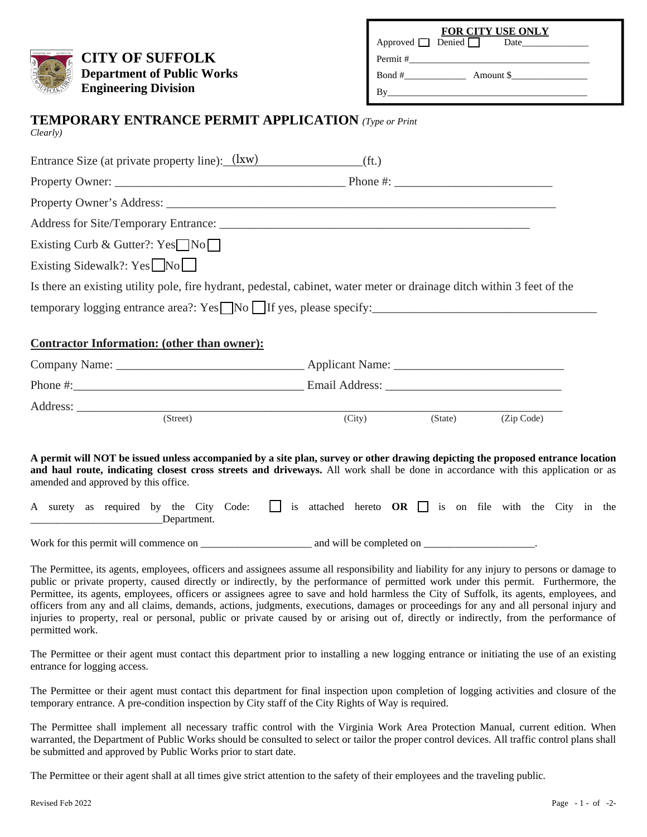| <b>CITY OF SUFFOLK</b><br><b>Department of Public Works</b><br><b>Engineering Division</b>                                                                                                                                                                                                                                                                                                                                                                                                                                                                                                                                                                                                                                          | FOR CITY USE ONLY<br>Approved $\Box$ Denied $\Box$<br><b>Date</b><br>$\text{Bond } \#$ Amount \$ |
|-------------------------------------------------------------------------------------------------------------------------------------------------------------------------------------------------------------------------------------------------------------------------------------------------------------------------------------------------------------------------------------------------------------------------------------------------------------------------------------------------------------------------------------------------------------------------------------------------------------------------------------------------------------------------------------------------------------------------------------|--------------------------------------------------------------------------------------------------|
| <b>TEMPORARY ENTRANCE PERMIT APPLICATION</b> (Type or Print<br>Clearly)                                                                                                                                                                                                                                                                                                                                                                                                                                                                                                                                                                                                                                                             |                                                                                                  |
| Entrance Size (at private property line): (1xw) (ft.)                                                                                                                                                                                                                                                                                                                                                                                                                                                                                                                                                                                                                                                                               |                                                                                                  |
|                                                                                                                                                                                                                                                                                                                                                                                                                                                                                                                                                                                                                                                                                                                                     |                                                                                                  |
|                                                                                                                                                                                                                                                                                                                                                                                                                                                                                                                                                                                                                                                                                                                                     |                                                                                                  |
|                                                                                                                                                                                                                                                                                                                                                                                                                                                                                                                                                                                                                                                                                                                                     |                                                                                                  |
| Existing Curb & Gutter?: $Yes \n\nNo \n\n\begin{array}{ c c }\n\hline\n\end{array}$                                                                                                                                                                                                                                                                                                                                                                                                                                                                                                                                                                                                                                                 |                                                                                                  |
| Existing Sidewalk?: $Yes \n\n\begin{array}{ c c }\n\hline\n\end{array} No \n\begin{array}{ c c }\n\hline\n\end{array}$                                                                                                                                                                                                                                                                                                                                                                                                                                                                                                                                                                                                              |                                                                                                  |
| Is there an existing utility pole, fire hydrant, pedestal, cabinet, water meter or drainage ditch within 3 feet of the                                                                                                                                                                                                                                                                                                                                                                                                                                                                                                                                                                                                              |                                                                                                  |
| temporary logging entrance area?: $Yes \rightharpoonup No \rightharpoonup If yes, please specify: \rightharpoonup \rightharpoonup \rightharpoonup \rightharpoonup \rightharpoonup \rightharpoonup \rightharpoonup \rightharpoonup \rightharpoonup \rightharpoonup \rightharpoonup \rightharpoonup \rightharpoonup \rightharpoonup \rightharpoonup \rightharpoonup \rightharpoonup \rightharpoonup \rightharpoonup \rightharpoonup \rightharpoonup \rightharpoonup \rightharpoonup \rightharpoonup \rightharpoonup \rightharpoonup \rightharpoonup \righthar$                                                                                                                                                                        |                                                                                                  |
| <b>Contractor Information: (other than owner):</b>                                                                                                                                                                                                                                                                                                                                                                                                                                                                                                                                                                                                                                                                                  |                                                                                                  |
|                                                                                                                                                                                                                                                                                                                                                                                                                                                                                                                                                                                                                                                                                                                                     |                                                                                                  |
| (Street)                                                                                                                                                                                                                                                                                                                                                                                                                                                                                                                                                                                                                                                                                                                            | (City)<br>(State)<br>(Zip Code)                                                                  |
| A permit will NOT be issued unless accompanied by a site plan, survey or other drawing depicting the proposed entrance location<br>and haul route, indicating closest cross streets and driveways. All work shall be done in accordance with this application or as<br>amended and approved by this office.<br>A surety as required by the City Code: is attached hereto OR is on file with the City in the<br>Department.                                                                                                                                                                                                                                                                                                          |                                                                                                  |
|                                                                                                                                                                                                                                                                                                                                                                                                                                                                                                                                                                                                                                                                                                                                     |                                                                                                  |
| The Permittee, its agents, employees, officers and assignees assume all responsibility and liability for any injury to persons or damage to<br>public or private property, caused directly or indirectly, by the performance of permitted work under this permit. Furthermore, the<br>Permittee, its agents, employees, officers or assignees agree to save and hold harmless the City of Suffolk, its agents, employees, and<br>officers from any and all claims, demands, actions, judgments, executions, damages or proceedings for any and all personal injury and<br>injuries to property, real or personal, public or private caused by or arising out of, directly or indirectly, from the performance of<br>permitted work. |                                                                                                  |

The Permittee or their agent must contact this department prior to installing a new logging entrance or initiating the use of an existing entrance for logging access.

The Permittee or their agent must contact this department for final inspection upon completion of logging activities and closure of the temporary entrance. A pre-condition inspection by City staff of the City Rights of Way is required.

The Permittee shall implement all necessary traffic control with the Virginia Work Area Protection Manual, current edition. When warranted, the Department of Public Works should be consulted to select or tailor the proper control devices. All traffic control plans shall be submitted and approved by Public Works prior to start date.

The Permittee or their agent shall at all times give strict attention to the safety of their employees and the traveling public.